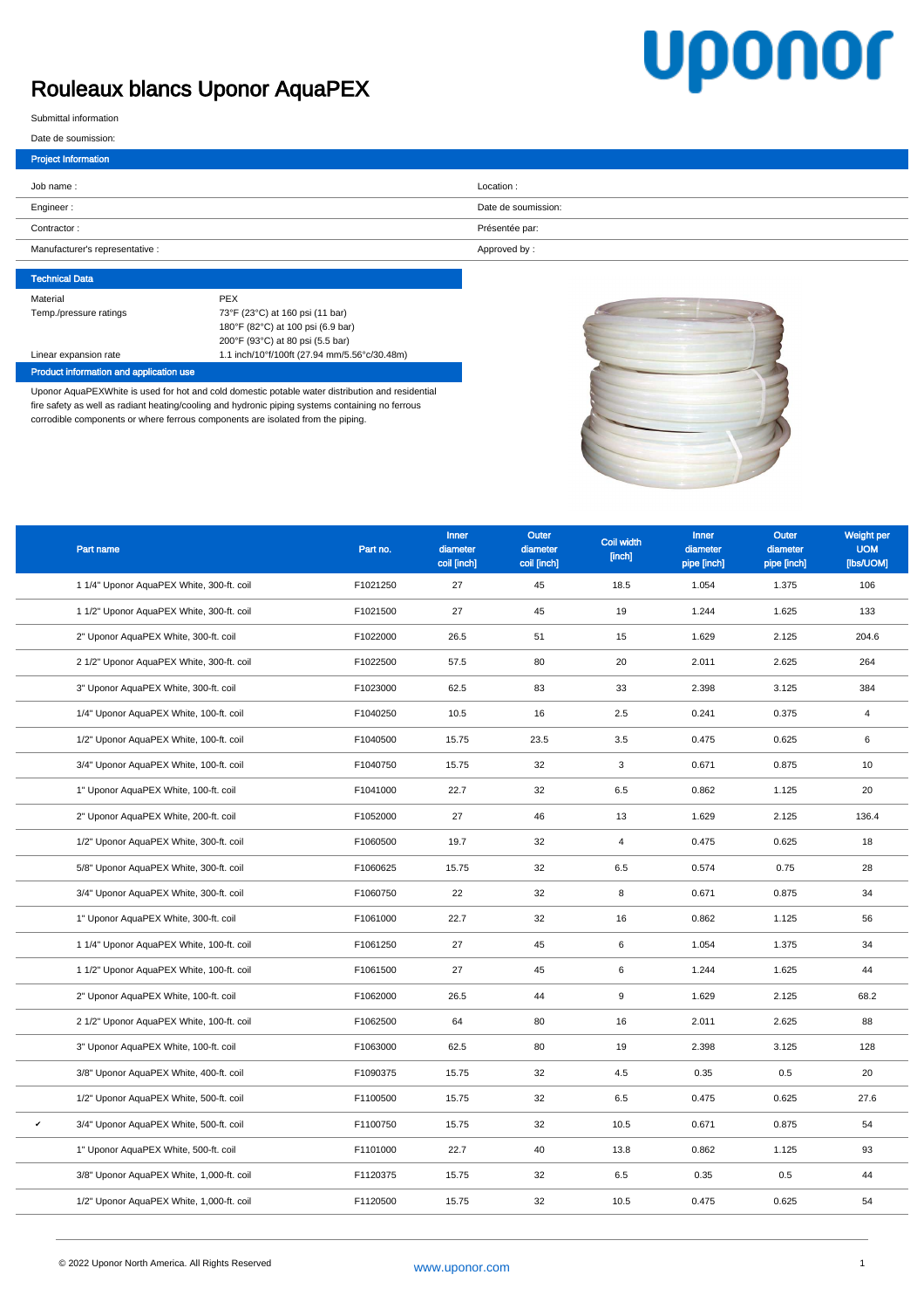## Rouleaux blancs Uponor AquaPEX

## **Uponor**

Submittal information

I

| <b>Project Information</b>      |                     |
|---------------------------------|---------------------|
| Job name:                       | Location:           |
| Engineer:                       | Date de soumission: |
| Contractor:                     | Présentée par:      |
| Manufacturer's representative : | Approved by:        |

## Technical Data Material PEX Temp./pressure ratings 73°F (23°C) at 160 psi (11 bar) 180°F (82°C) at 100 psi (6.9 bar) 200°F (93°C) at 80 psi (5.5 bar) Linear expansion rate 1.1 inch/10°f/100ft (27.94 mm/5.56°c/30.48m)

Product information and application use

Uponor AquaPEXWhite is used for hot and cold domestic potable water distribution and residential fire safety as well as radiant heating/cooling and hydronic piping systems containing no ferrous corrodible components or where ferrous components are isolated from the piping.



| Part name                                    | Part no. | Inner<br>diameter<br>coil [inch] | Outer<br>diameter<br>coil [inch] | Coil width<br>[inch] | <b>Inner</b><br>diameter<br>pipe [inch] | <b>Outer</b><br>diameter<br>pipe [inch] | Weight per<br><b>UOM</b><br>[lbs/UOM] |
|----------------------------------------------|----------|----------------------------------|----------------------------------|----------------------|-----------------------------------------|-----------------------------------------|---------------------------------------|
| 1 1/4" Uponor AquaPEX White, 300-ft. coil    | F1021250 | 27                               | 45                               | 18.5                 | 1.054                                   | 1.375                                   | 106                                   |
| 1 1/2" Uponor AquaPEX White, 300-ft. coil    | F1021500 | 27                               | 45                               | 19                   | 1.244                                   | 1.625                                   | 133                                   |
| 2" Uponor AquaPEX White, 300-ft. coil        | F1022000 | 26.5                             | 51                               | 15                   | 1.629                                   | 2.125                                   | 204.6                                 |
| 2 1/2" Uponor AquaPEX White, 300-ft. coil    | F1022500 | 57.5                             | 80                               | 20                   | 2.011                                   | 2.625                                   | 264                                   |
| 3" Uponor AquaPEX White, 300-ft. coil        | F1023000 | 62.5                             | 83                               | 33                   | 2.398                                   | 3.125                                   | 384                                   |
| 1/4" Uponor AquaPEX White, 100-ft. coil      | F1040250 | 10.5                             | 16                               | 2.5                  | 0.241                                   | 0.375                                   | $\overline{4}$                        |
| 1/2" Uponor AquaPEX White, 100-ft. coil      | F1040500 | 15.75                            | 23.5                             | 3.5                  | 0.475                                   | 0.625                                   | 6                                     |
| 3/4" Uponor AquaPEX White, 100-ft. coil      | F1040750 | 15.75                            | 32                               | 3                    | 0.671                                   | 0.875                                   | 10                                    |
| 1" Uponor AquaPEX White, 100-ft. coil        | F1041000 | 22.7                             | 32                               | 6.5                  | 0.862                                   | 1.125                                   | 20                                    |
| 2" Uponor AquaPEX White, 200-ft. coil        | F1052000 | 27                               | 46                               | 13                   | 1.629                                   | 2.125                                   | 136.4                                 |
| 1/2" Uponor AquaPEX White, 300-ft. coil      | F1060500 | 19.7                             | 32                               | $\overline{4}$       | 0.475                                   | 0.625                                   | 18                                    |
| 5/8" Uponor AquaPEX White, 300-ft. coil      | F1060625 | 15.75                            | 32                               | 6.5                  | 0.574                                   | 0.75                                    | 28                                    |
| 3/4" Uponor AquaPEX White, 300-ft. coil      | F1060750 | 22                               | 32                               | 8                    | 0.671                                   | 0.875                                   | 34                                    |
| 1" Uponor AquaPEX White, 300-ft. coil        | F1061000 | 22.7                             | 32                               | 16                   | 0.862                                   | 1.125                                   | 56                                    |
| 1 1/4" Uponor AquaPEX White, 100-ft. coil    | F1061250 | 27                               | 45                               | 6                    | 1.054                                   | 1.375                                   | 34                                    |
| 1 1/2" Uponor AquaPEX White, 100-ft. coil    | F1061500 | 27                               | 45                               | 6                    | 1.244                                   | 1.625                                   | 44                                    |
| 2" Uponor AquaPEX White, 100-ft. coil        | F1062000 | 26.5                             | 44                               | 9                    | 1.629                                   | 2.125                                   | 68.2                                  |
| 2 1/2" Uponor AquaPEX White, 100-ft. coil    | F1062500 | 64                               | 80                               | 16                   | 2.011                                   | 2.625                                   | 88                                    |
| 3" Uponor AquaPEX White, 100-ft. coil        | F1063000 | 62.5                             | 80                               | 19                   | 2.398                                   | 3.125                                   | 128                                   |
| 3/8" Uponor AquaPEX White, 400-ft. coil      | F1090375 | 15.75                            | 32                               | 4.5                  | 0.35                                    | 0.5                                     | 20                                    |
| 1/2" Uponor AquaPEX White, 500-ft. coil      | F1100500 | 15.75                            | 32                               | 6.5                  | 0.475                                   | 0.625                                   | 27.6                                  |
| 3/4" Uponor AquaPEX White, 500-ft. coil<br>v | F1100750 | 15.75                            | 32                               | 10.5                 | 0.671                                   | 0.875                                   | 54                                    |
| 1" Uponor AquaPEX White, 500-ft. coil        | F1101000 | 22.7                             | 40                               | 13.8                 | 0.862                                   | 1.125                                   | 93                                    |
| 3/8" Uponor AquaPEX White, 1,000-ft. coil    | F1120375 | 15.75                            | 32                               | 6.5                  | 0.35                                    | 0.5                                     | 44                                    |
| 1/2" Uponor AquaPEX White, 1,000-ft. coil    | F1120500 | 15.75                            | 32                               | 10.5                 | 0.475                                   | 0.625                                   | 54                                    |
|                                              |          |                                  |                                  |                      |                                         |                                         |                                       |